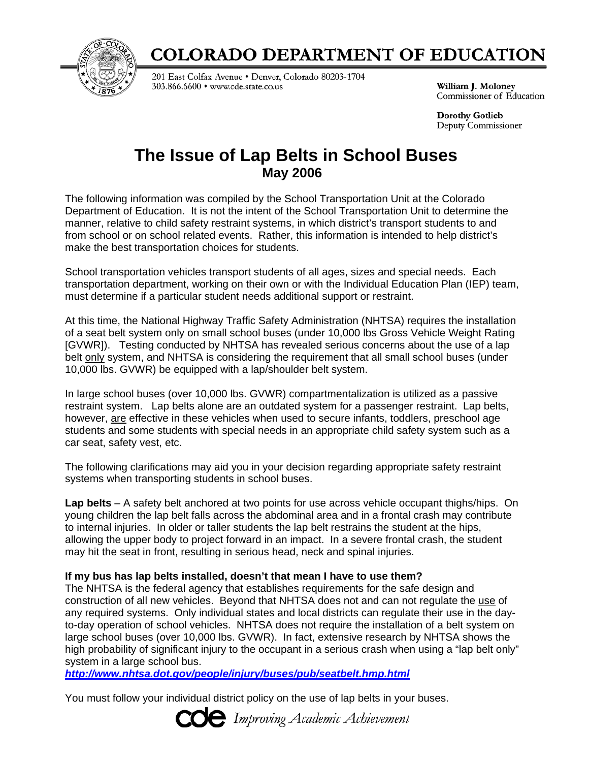

# **COLORADO DEPARTMENT OF EDUCATION**

201 East Colfax Avenue . Denver, Colorado 80203-1704 303.866.6600 · www.cde.state.co.us

William J. Moloney Commissioner of Education

**Dorothy Gotlieb** Deputy Commissioner

# **The Issue of Lap Belts in School Buses May 2006**

The following information was compiled by the School Transportation Unit at the Colorado Department of Education. It is not the intent of the School Transportation Unit to determine the manner, relative to child safety restraint systems, in which district's transport students to and from school or on school related events. Rather, this information is intended to help district's make the best transportation choices for students.

School transportation vehicles transport students of all ages, sizes and special needs. Each transportation department, working on their own or with the Individual Education Plan (IEP) team, must determine if a particular student needs additional support or restraint.

At this time, the National Highway Traffic Safety Administration (NHTSA) requires the installation of a seat belt system only on small school buses (under 10,000 lbs Gross Vehicle Weight Rating [GVWR]). Testing conducted by NHTSA has revealed serious concerns about the use of a lap belt only system, and NHTSA is considering the requirement that all small school buses (under 10,000 lbs. GVWR) be equipped with a lap/shoulder belt system.

In large school buses (over 10,000 lbs. GVWR) compartmentalization is utilized as a passive restraint system. Lap belts alone are an outdated system for a passenger restraint. Lap belts, however, are effective in these vehicles when used to secure infants, toddlers, preschool age students and some students with special needs in an appropriate child safety system such as a car seat, safety vest, etc.

The following clarifications may aid you in your decision regarding appropriate safety restraint systems when transporting students in school buses.

**Lap belts** – A safety belt anchored at two points for use across vehicle occupant thighs/hips. On young children the lap belt falls across the abdominal area and in a frontal crash may contribute to internal injuries. In older or taller students the lap belt restrains the student at the hips, allowing the upper body to project forward in an impact. In a severe frontal crash, the student may hit the seat in front, resulting in serious head, neck and spinal injuries.

## **If my bus has lap belts installed, doesn't that mean I have to use them?**

The NHTSA is the federal agency that establishes requirements for the safe design and construction of all new vehicles. Beyond that NHTSA does not and can not regulate the use of any required systems. Only individual states and local districts can regulate their use in the dayto-day operation of school vehicles. NHTSA does not require the installation of a belt system on large school buses (over 10,000 lbs. GVWR). In fact, extensive research by NHTSA shows the high probability of significant injury to the occupant in a serious crash when using a "lap belt only" system in a large school bus.

*http://www.nhtsa.dot.gov/people/injury/buses/pub/seatbelt.hmp.html*

You must follow your individual district policy on the use of lap belts in your buses.

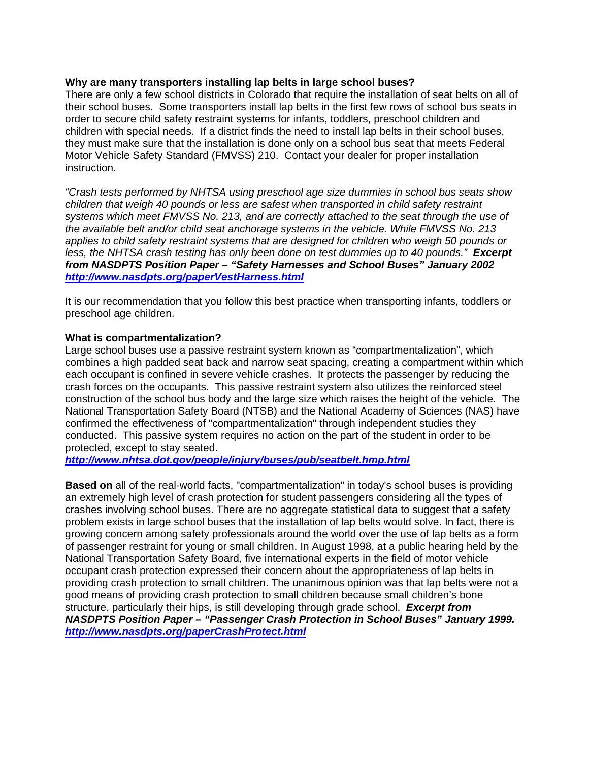#### **Why are many transporters installing lap belts in large school buses?**

There are only a few school districts in Colorado that require the installation of seat belts on all of their school buses. Some transporters install lap belts in the first few rows of school bus seats in order to secure child safety restraint systems for infants, toddlers, preschool children and children with special needs. If a district finds the need to install lap belts in their school buses, they must make sure that the installation is done only on a school bus seat that meets Federal Motor Vehicle Safety Standard (FMVSS) 210. Contact your dealer for proper installation instruction.

*"Crash tests performed by NHTSA using preschool age size dummies in school bus seats show children that weigh 40 pounds or less are safest when transported in child safety restraint systems which meet FMVSS No. 213, and are correctly attached to the seat through the use of the available belt and/or child seat anchorage systems in the vehicle. While FMVSS No. 213 applies to child safety restraint systems that are designed for children who weigh 50 pounds or less, the NHTSA crash testing has only been done on test dummies up to 40 pounds." Excerpt from NASDPTS Position Paper – "Safety Harnesses and School Buses" January 2002 http://www.nasdpts.org/paperVestHarness.html*

It is our recommendation that you follow this best practice when transporting infants, toddlers or preschool age children.

#### **What is compartmentalization?**

Large school buses use a passive restraint system known as "compartmentalization", which combines a high padded seat back and narrow seat spacing, creating a compartment within which each occupant is confined in severe vehicle crashes. It protects the passenger by reducing the crash forces on the occupants. This passive restraint system also utilizes the reinforced steel construction of the school bus body and the large size which raises the height of the vehicle. The National Transportation Safety Board (NTSB) and the National Academy of Sciences (NAS) have confirmed the effectiveness of "compartmentalization" through independent studies they conducted. This passive system requires no action on the part of the student in order to be protected, except to stay seated.

*http://www.nhtsa.dot.gov/people/injury/buses/pub/seatbelt.hmp.html*

**Based on** all of the real-world facts, "compartmentalization" in today's school buses is providing an extremely high level of crash protection for student passengers considering all the types of crashes involving school buses. There are no aggregate statistical data to suggest that a safety problem exists in large school buses that the installation of lap belts would solve. In fact, there is growing concern among safety professionals around the world over the use of lap belts as a form of passenger restraint for young or small children. In August 1998, at a public hearing held by the National Transportation Safety Board, five international experts in the field of motor vehicle occupant crash protection expressed their concern about the appropriateness of lap belts in providing crash protection to small children. The unanimous opinion was that lap belts were not a good means of providing crash protection to small children because small children's bone structure, particularly their hips, is still developing through grade school. *Excerpt from NASDPTS Position Paper – "Passenger Crash Protection in School Buses" January 1999. http://www.nasdpts.org/paperCrashProtect.html*